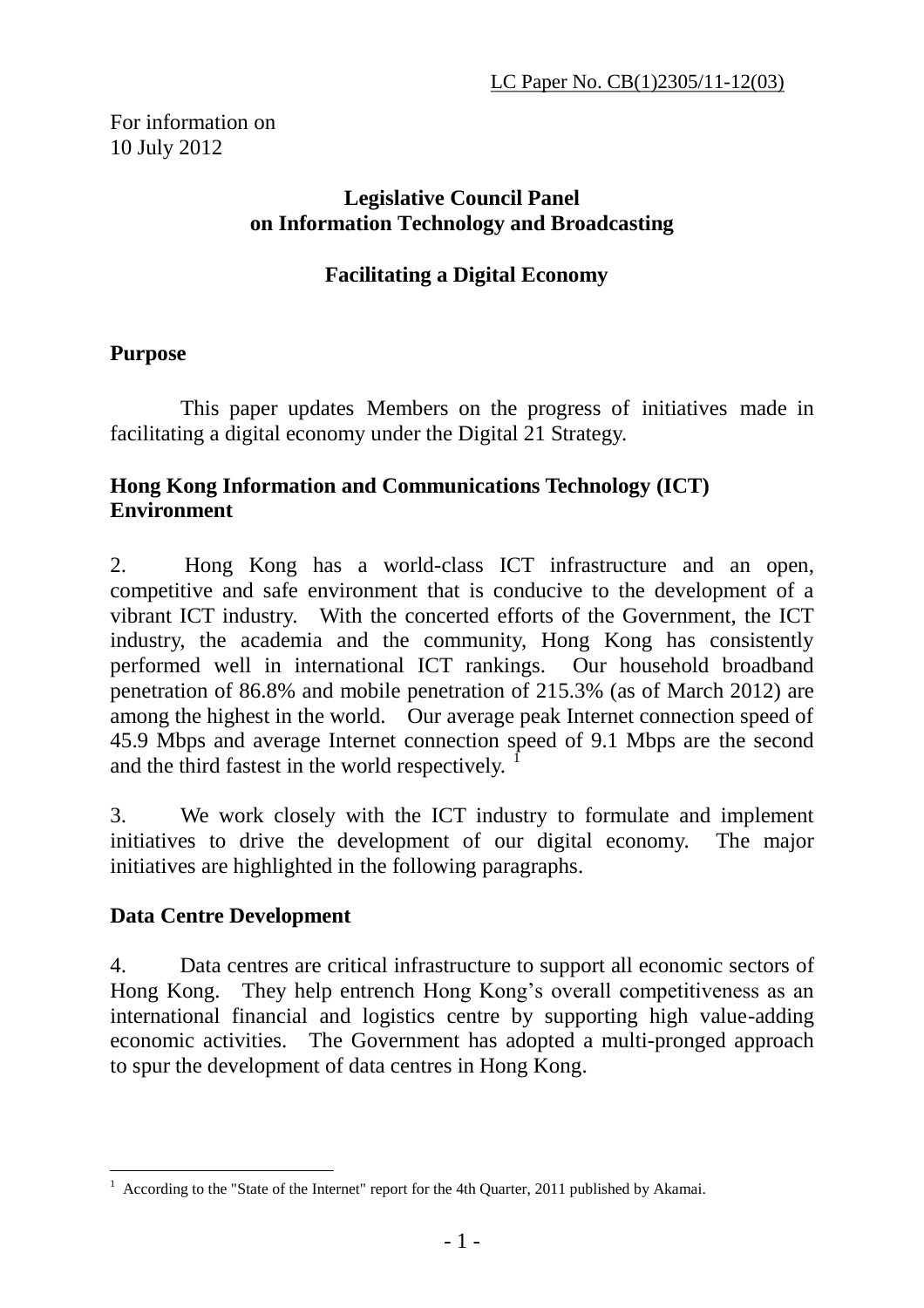For information on 10 July 2012

#### **Legislative Council Panel on Information Technology and Broadcasting**

#### **Facilitating a Digital Economy**

#### **Purpose**

 This paper updates Members on the progress of initiatives made in facilitating a digital economy under the Digital 21 Strategy.

### **Hong Kong Information and Communications Technology (ICT) Environment**

2. Hong Kong has a world-class ICT infrastructure and an open, competitive and safe environment that is conducive to the development of a vibrant ICT industry. With the concerted efforts of the Government, the ICT industry, the academia and the community, Hong Kong has consistently performed well in international ICT rankings. Our household broadband penetration of 86.8% and mobile penetration of 215.3% (as of March 2012) are among the highest in the world. Our average peak Internet connection speed of 45.9 Mbps and average Internet connection speed of 9.1 Mbps are the second and the third fastest in the world respectively.

3. We work closely with the ICT industry to formulate and implement initiatives to drive the development of our digital economy. The major initiatives are highlighted in the following paragraphs.

#### **Data Centre Development**

4. Data centres are critical infrastructure to support all economic sectors of Hong Kong. They help entrench Hong Kong's overall competitiveness as an international financial and logistics centre by supporting high value-adding economic activities. The Government has adopted a multi-pronged approach to spur the development of data centres in Hong Kong.

 $\overline{a}$ 1 According to the "State of the Internet" report for the 4th Quarter, 2011 published by Akamai.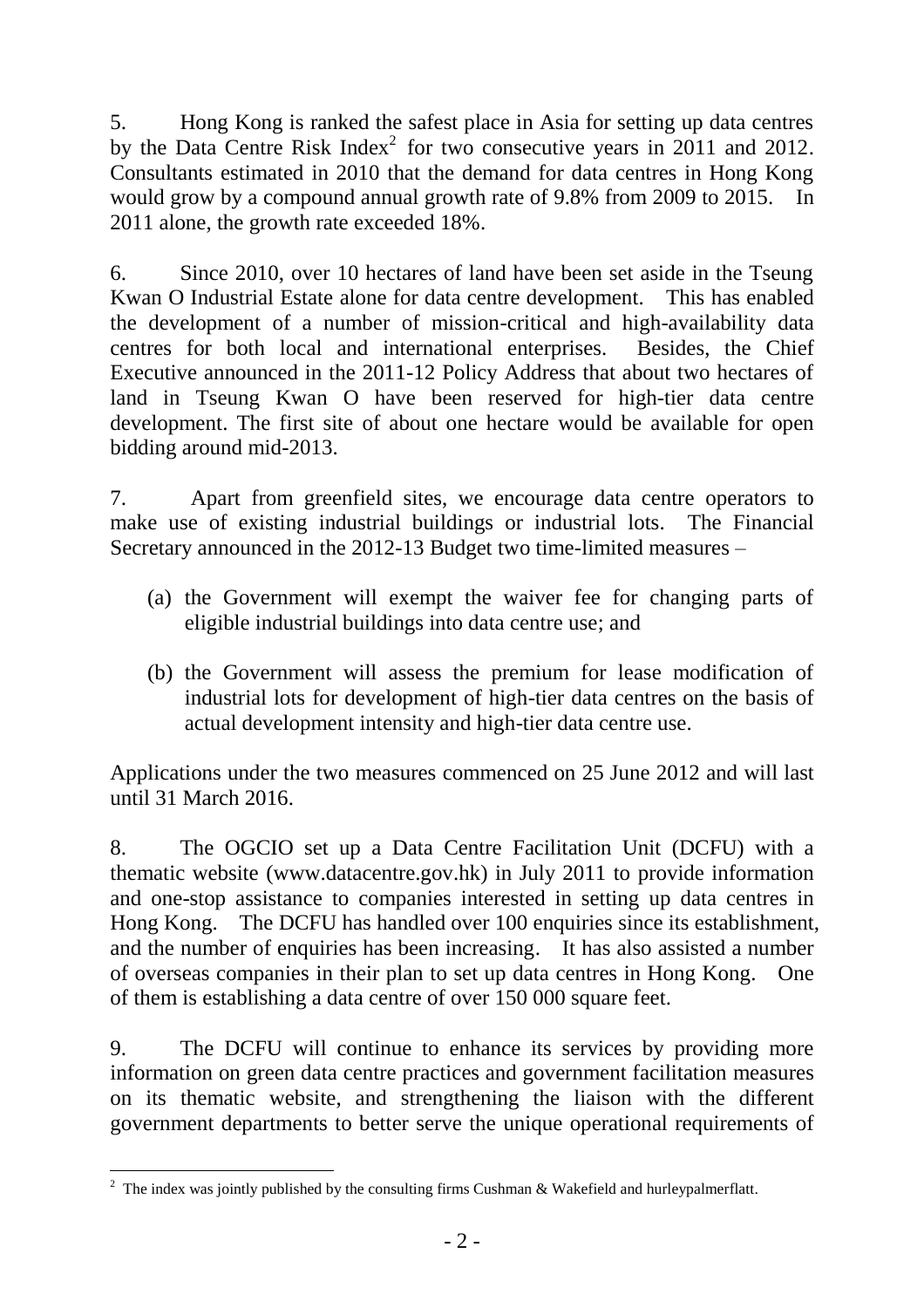5. Hong Kong is ranked the safest place in Asia for setting up data centres by the Data Centre Risk Index<sup>2</sup> for two consecutive years in 2011 and 2012. Consultants estimated in 2010 that the demand for data centres in Hong Kong would grow by a compound annual growth rate of 9.8% from 2009 to 2015. In 2011 alone, the growth rate exceeded 18%.

6. Since 2010, over 10 hectares of land have been set aside in the Tseung Kwan O Industrial Estate alone for data centre development. This has enabled the development of a number of mission-critical and high-availability data centres for both local and international enterprises. Besides, the Chief Executive announced in the 2011-12 Policy Address that about two hectares of land in Tseung Kwan O have been reserved for high-tier data centre development. The first site of about one hectare would be available for open bidding around mid-2013.

7. Apart from greenfield sites, we encourage data centre operators to make use of existing industrial buildings or industrial lots. The Financial Secretary announced in the 2012-13 Budget two time-limited measures –

- (a) the Government will exempt the waiver fee for changing parts of eligible industrial buildings into data centre use; and
- (b) the Government will assess the premium for lease modification of industrial lots for development of high-tier data centres on the basis of actual development intensity and high-tier data centre use.

Applications under the two measures commenced on 25 June 2012 and will last until 31 March 2016.

8. The OGCIO set up a Data Centre Facilitation Unit (DCFU) with a thematic website [\(www.datacentre.gov.hk\)](http://www.datacentre.gov.hk/) in July 2011 to provide information and one-stop assistance to companies interested in setting up data centres in Hong Kong. The DCFU has handled over 100 enquiries since its establishment, and the number of enquiries has been increasing. It has also assisted a number of overseas companies in their plan to set up data centres in Hong Kong. One of them is establishing a data centre of over 150 000 square feet.

9. The DCFU will continue to enhance its services by providing more information on green data centre practices and government facilitation measures on its thematic website, and strengthening the liaison with the different government departments to better serve the unique operational requirements of

 $\overline{a}$ <sup>2</sup> The index was jointly published by the consulting firms Cushman & Wakefield and hurleypalmerflatt.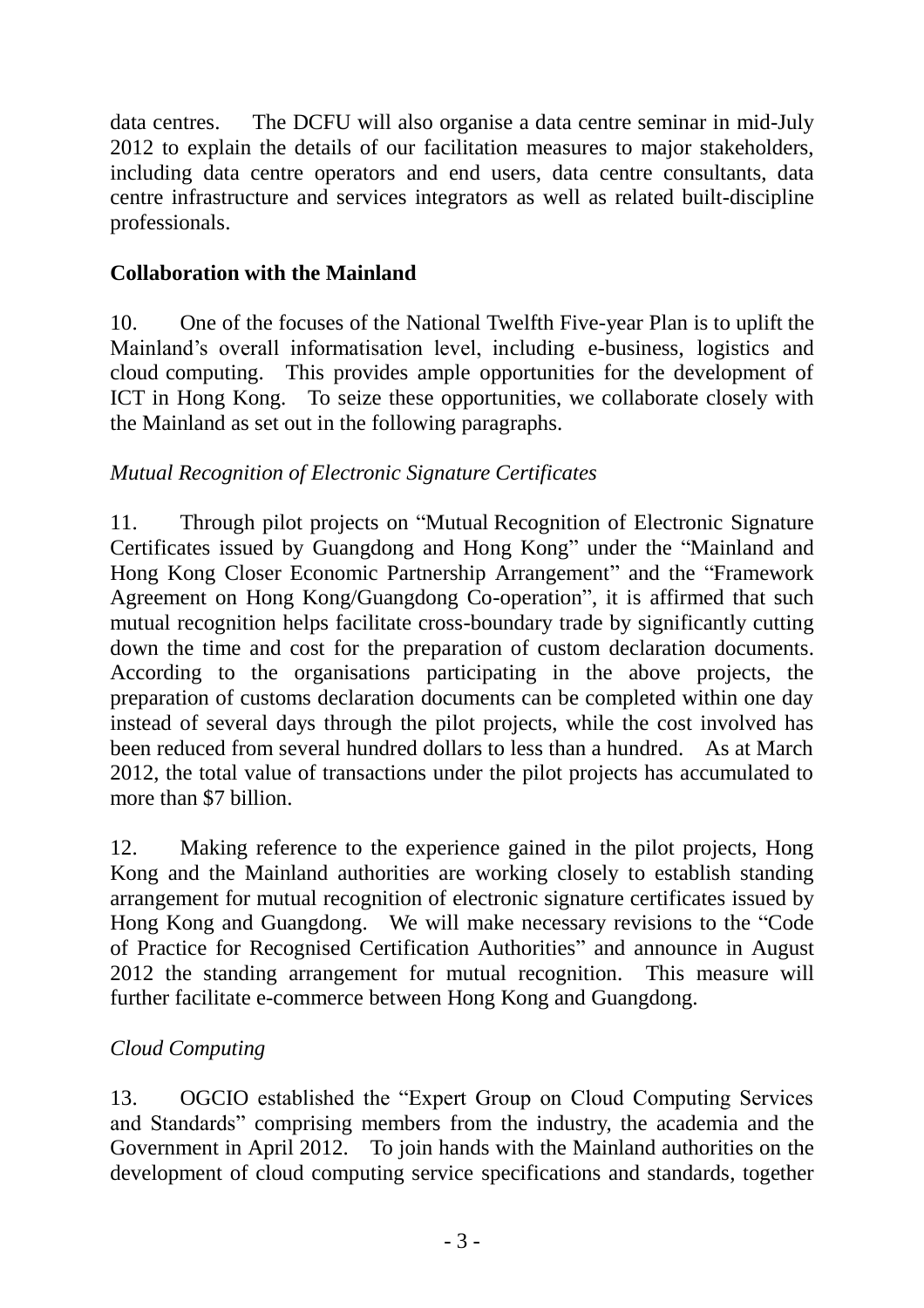data centres. The DCFU will also organise a data centre seminar in mid-July 2012 to explain the details of our facilitation measures to major stakeholders, including data centre operators and end users, data centre consultants, data centre infrastructure and services integrators as well as related built-discipline professionals.

## **Collaboration with the Mainland**

10. One of the focuses of the National Twelfth Five-year Plan is to uplift the Mainland's overall informatisation level, including e-business, logistics and cloud computing. This provides ample opportunities for the development of ICT in Hong Kong. To seize these opportunities, we collaborate closely with the Mainland as set out in the following paragraphs.

#### *Mutual Recognition of Electronic Signature Certificates*

11. Through pilot projects on "Mutual Recognition of Electronic Signature Certificates issued by Guangdong and Hong Kong" under the "Mainland and Hong Kong Closer Economic Partnership Arrangement" and the "Framework Agreement on Hong Kong/Guangdong Co-operation", it is affirmed that such mutual recognition helps facilitate cross-boundary trade by significantly cutting down the time and cost for the preparation of custom declaration documents. According to the organisations participating in the above projects, the preparation of customs declaration documents can be completed within one day instead of several days through the pilot projects, while the cost involved has been reduced from several hundred dollars to less than a hundred. As at March 2012, the total value of transactions under the pilot projects has accumulated to more than \$7 billion.

12. Making reference to the experience gained in the pilot projects, Hong Kong and the Mainland authorities are working closely to establish standing arrangement for mutual recognition of electronic signature certificates issued by Hong Kong and Guangdong. We will make necessary revisions to the "Code of Practice for Recognised Certification Authorities" and announce in August 2012 the standing arrangement for mutual recognition. This measure will further facilitate e-commerce between Hong Kong and Guangdong.

#### *Cloud Computing*

13. OGCIO established the "Expert Group on Cloud Computing Services and Standards" comprising members from the industry, the academia and the Government in April 2012. To join hands with the Mainland authorities on the development of cloud computing service specifications and standards, together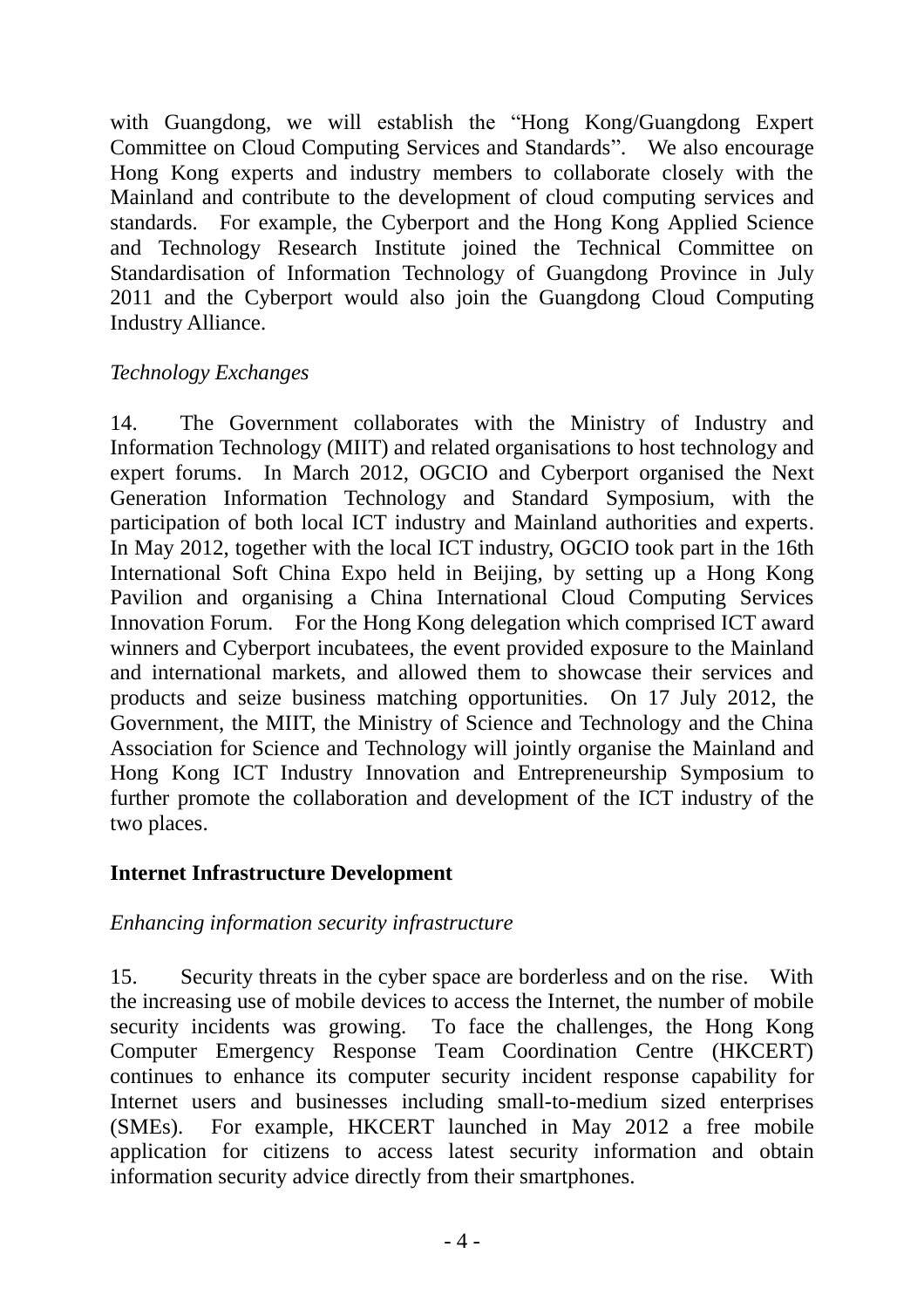with Guangdong, we will establish the "Hong Kong/Guangdong Expert Committee on Cloud Computing Services and Standards". We also encourage Hong Kong experts and industry members to collaborate closely with the Mainland and contribute to the development of cloud computing services and standards. For example, the Cyberport and the Hong Kong Applied Science and Technology Research Institute joined the Technical Committee on Standardisation of Information Technology of Guangdong Province in July 2011 and the Cyberport would also join the Guangdong Cloud Computing Industry Alliance.

#### *Technology Exchanges*

14. The Government collaborates with the Ministry of Industry and Information Technology (MIIT) and related organisations to host technology and expert forums. In March 2012, OGCIO and Cyberport organised the Next Generation Information Technology and Standard Symposium, with the participation of both local ICT industry and Mainland authorities and experts. In May 2012, together with the local ICT industry, OGCIO took part in the 16th International Soft China Expo held in Beijing, by setting up a Hong Kong Pavilion and organising a China International Cloud Computing Services Innovation Forum. For the Hong Kong delegation which comprised ICT award winners and Cyberport incubatees, the event provided exposure to the Mainland and international markets, and allowed them to showcase their services and products and seize business matching opportunities. On 17 July 2012, the Government, the MIIT, the Ministry of Science and Technology and the China Association for Science and Technology will jointly organise the Mainland and Hong Kong ICT Industry Innovation and Entrepreneurship Symposium to further promote the collaboration and development of the ICT industry of the two places.

#### **Internet Infrastructure Development**

#### *Enhancing information security infrastructure*

15. Security threats in the cyber space are borderless and on the rise. With the increasing use of mobile devices to access the Internet, the number of mobile security incidents was growing. To face the challenges, the Hong Kong Computer Emergency Response Team Coordination Centre (HKCERT) continues to enhance its computer security incident response capability for Internet users and businesses including small-to-medium sized enterprises (SMEs). For example, HKCERT launched in May 2012 a free mobile application for citizens to access latest security information and obtain information security advice directly from their smartphones.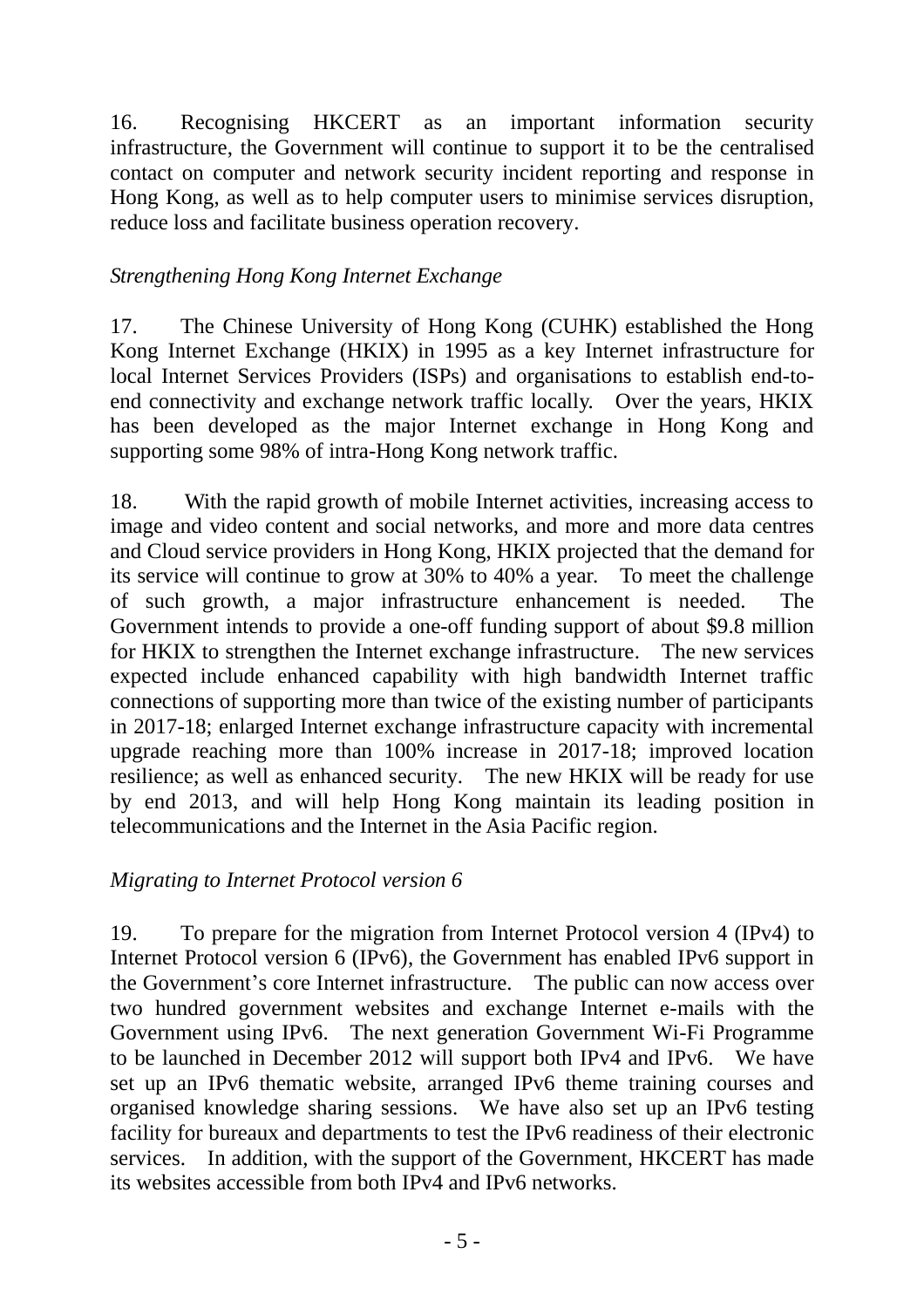16. Recognising HKCERT as an important information security infrastructure, the Government will continue to support it to be the centralised contact on computer and network security incident reporting and response in Hong Kong, as well as to help computer users to minimise services disruption, reduce loss and facilitate business operation recovery.

## *Strengthening Hong Kong Internet Exchange*

17. The Chinese University of Hong Kong (CUHK) established the Hong Kong Internet Exchange (HKIX) in 1995 as a key Internet infrastructure for local Internet Services Providers (ISPs) and organisations to establish end-toend connectivity and exchange network traffic locally. Over the years, HKIX has been developed as the major Internet exchange in Hong Kong and supporting some 98% of intra-Hong Kong network traffic.

18. With the rapid growth of mobile Internet activities, increasing access to image and video content and social networks, and more and more data centres and Cloud service providers in Hong Kong, HKIX projected that the demand for its service will continue to grow at 30% to 40% a year. To meet the challenge of such growth, a major infrastructure enhancement is needed. The Government intends to provide a one-off funding support of about \$9.8 million for HKIX to strengthen the Internet exchange infrastructure. The new services expected include enhanced capability with high bandwidth Internet traffic connections of supporting more than twice of the existing number of participants in 2017-18; enlarged Internet exchange infrastructure capacity with incremental upgrade reaching more than 100% increase in 2017-18; improved location resilience; as well as enhanced security. The new HKIX will be ready for use by end 2013, and will help Hong Kong maintain its leading position in telecommunications and the Internet in the Asia Pacific region.

#### *Migrating to Internet Protocol version 6*

19. To prepare for the migration from Internet Protocol version 4 (IPv4) to Internet Protocol version 6 (IPv6), the Government has enabled IPv6 support in the Government's core Internet infrastructure. The public can now access over two hundred government websites and exchange Internet e-mails with the Government using IPv6. The next generation Government Wi-Fi Programme to be launched in December 2012 will support both IPv4 and IPv6. We have set up an IPv6 thematic website, arranged IPv6 theme training courses and organised knowledge sharing sessions. We have also set up an IPv6 testing facility for bureaux and departments to test the IPv6 readiness of their electronic services. In addition, with the support of the Government, HKCERT has made its websites accessible from both IPv4 and IPv6 networks.